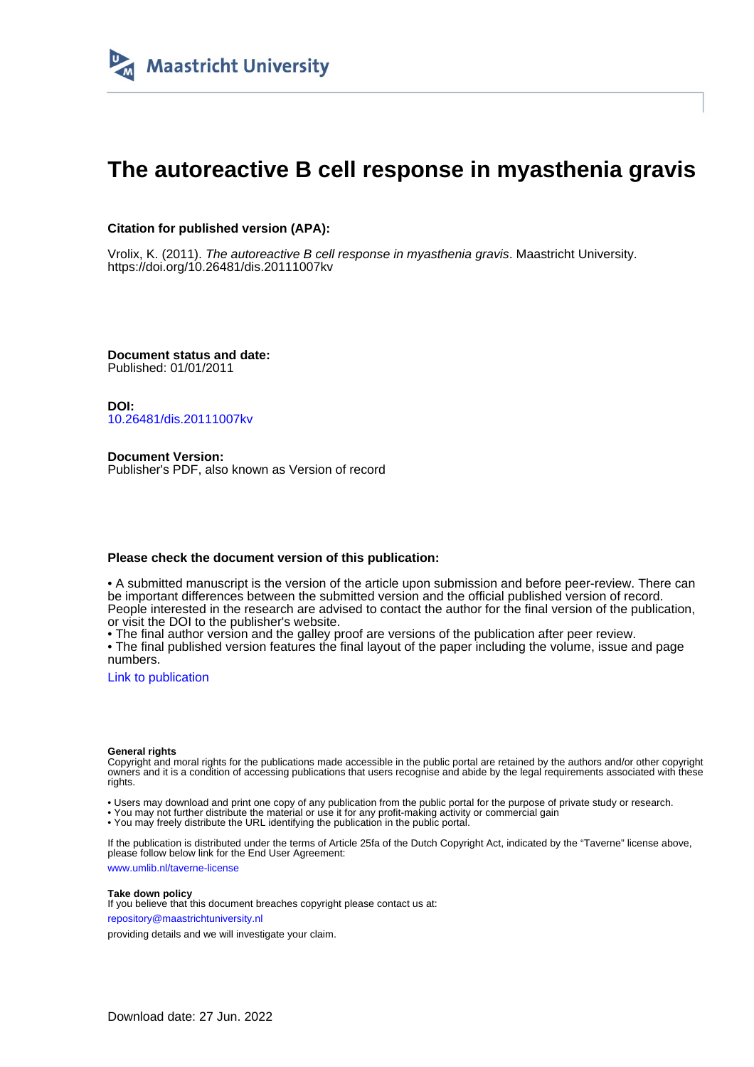

# **The autoreactive B cell response in myasthenia gravis**

# **Citation for published version (APA):**

Vrolix, K. (2011). The autoreactive B cell response in myasthenia gravis. Maastricht University. <https://doi.org/10.26481/dis.20111007kv>

**Document status and date:** Published: 01/01/2011

**DOI:** [10.26481/dis.20111007kv](https://doi.org/10.26481/dis.20111007kv)

**Document Version:** Publisher's PDF, also known as Version of record

### **Please check the document version of this publication:**

• A submitted manuscript is the version of the article upon submission and before peer-review. There can be important differences between the submitted version and the official published version of record. People interested in the research are advised to contact the author for the final version of the publication, or visit the DOI to the publisher's website.

• The final author version and the galley proof are versions of the publication after peer review.

• The final published version features the final layout of the paper including the volume, issue and page numbers.

[Link to publication](https://cris.maastrichtuniversity.nl/en/publications/2ea19d70-9657-457a-8792-4a3c9cfe6cd9)

#### **General rights**

Copyright and moral rights for the publications made accessible in the public portal are retained by the authors and/or other copyright owners and it is a condition of accessing publications that users recognise and abide by the legal requirements associated with these rights.

• Users may download and print one copy of any publication from the public portal for the purpose of private study or research.

• You may not further distribute the material or use it for any profit-making activity or commercial gain

• You may freely distribute the URL identifying the publication in the public portal.

If the publication is distributed under the terms of Article 25fa of the Dutch Copyright Act, indicated by the "Taverne" license above, please follow below link for the End User Agreement:

www.umlib.nl/taverne-license

#### **Take down policy**

If you believe that this document breaches copyright please contact us at: repository@maastrichtuniversity.nl

providing details and we will investigate your claim.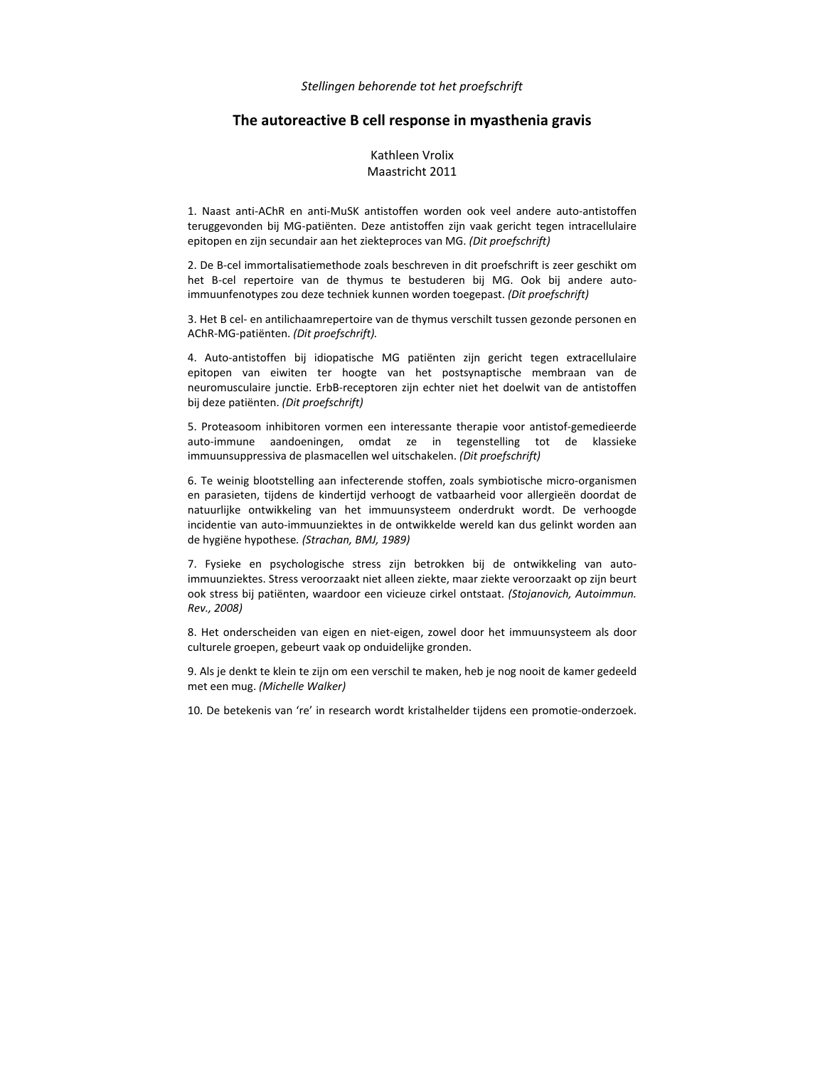## **The autoreactive B cell response in myasthenia gravis**

# Kathleen Vrolix Maastricht 2011

1. Naast anti‐AChR en anti‐MuSK antistoffen worden ook veel andere auto‐antistoffen teruggevonden bij MG‐patiënten. Deze antistoffen zijn vaak gericht tegen intracellulaire epitopen en zijn secundair aan het ziekteproces van MG. *(Dit proefschrift)*

2. De B‐cel immortalisatiemethode zoals beschreven in dit proefschrift is zeer geschikt om het B-cel repertoire van de thymus te bestuderen bij MG. Ook bij andere autoimmuunfenotypes zou deze techniek kunnen worden toegepast. *(Dit proefschrift)*

3. Het B cel‐ en antilichaamrepertoire van de thymus verschilt tussen gezonde personen en AChR‐MG‐patiënten. *(Dit proefschrift).*

4. Auto‐antistoffen bij idiopatische MG patiënten zijn gericht tegen extracellulaire epitopen van eiwiten ter hoogte van het postsynaptische membraan van de neuromusculaire junctie. ErbB‐receptoren zijn echter niet het doelwit van de antistoffen bij deze patiënten. *(Dit proefschrift)*

5. Proteasoom inhibitoren vormen een interessante therapie voor antistof‐gemedieerde auto‐immune aandoeningen, omdat ze in tegenstelling tot de klassieke immuunsuppressiva de plasmacellen wel uitschakelen. *(Dit proefschrift)*

6. Te weinig blootstelling aan infecterende stoffen, zoals symbiotische micro‐organismen en parasieten, tijdens de kindertijd verhoogt de vatbaarheid voor allergieën doordat de natuurlijke ontwikkeling van het immuunsysteem onderdrukt wordt. De verhoogde incidentie van auto‐immuunziektes in de ontwikkelde wereld kan dus gelinkt worden aan de hygiëne hypothese*. (Strachan, BMJ, 1989)*

7. Fysieke en psychologische stress zijn betrokken bij de ontwikkeling van auto‐ immuunziektes. Stress veroorzaakt niet alleen ziekte, maar ziekte veroorzaakt op zijn beurt ook stress bij patiënten, waardoor een vicieuze cirkel ontstaat. *(Stojanovich, Autoimmun. Rev., 2008)* 

8. Het onderscheiden van eigen en niet‐eigen, zowel door het immuunsysteem als door culturele groepen, gebeurt vaak op onduidelijke gronden.

9. Als je denkt te klein te zijn om een verschil te maken, heb je nog nooit de kamer gedeeld met een mug. *(Michelle Walker)*

10. De betekenis van 're' in research wordt kristalhelder tijdens een promotie-onderzoek.